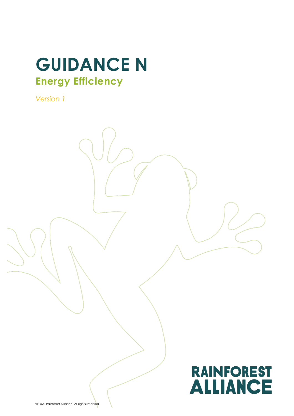# **GUIDANCE N Energy Efficiency**

*Version 1*

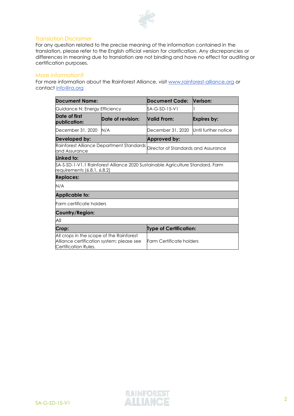

#### Translation Disclaimer

For any question related to the precise meaning of the information contained in the translation, please refer to the English official version for clarification. Any discrepancies or differences in meaning due to translation are not binding and have no effect for auditing or certification purposes.

#### More information?

For more information about the Rainforest Alliance, visit [www.rainforest-alliance.org](http://www.rainforest-alliance.org/) or contact [info@ra.org](mailto:info@ra.org)

| Document Name:                                                                                                |                   | Document Code:                                                                  | Verison:             |
|---------------------------------------------------------------------------------------------------------------|-------------------|---------------------------------------------------------------------------------|----------------------|
| Guidance N: Energy Efficiency                                                                                 |                   | SA-G-SD-15-V1                                                                   |                      |
| Date of first<br>publication:                                                                                 | Date of revision: | <b>Nalid From:</b>                                                              | Expires by:          |
| December 31, 2020                                                                                             | N/A               | December 31, 2020                                                               | Until further notice |
| Developed by:                                                                                                 |                   | Approved by:                                                                    |                      |
| Rainforest Alliance Department Standards<br>and Assurance                                                     |                   | Director of Standards and Assurance                                             |                      |
| Linked to:                                                                                                    |                   |                                                                                 |                      |
| requirements (6.8.1, 6.8.2)                                                                                   |                   | \$A-S-SD-1-V1.1 Rainforest Alliance 2020 Sustainable Agriculture Standard, Farm |                      |
| <b>Replaces:</b>                                                                                              |                   |                                                                                 |                      |
| N/A                                                                                                           |                   |                                                                                 |                      |
| <b>Applicable to:</b>                                                                                         |                   |                                                                                 |                      |
| Farm certificate holders                                                                                      |                   |                                                                                 |                      |
| Country/Region:                                                                                               |                   |                                                                                 |                      |
| All                                                                                                           |                   |                                                                                 |                      |
| Crop:                                                                                                         |                   | <b>Type of Certification:</b>                                                   |                      |
| All crops in the scope of the Rainforest<br>Alliance certification system; please see<br>Certification Rules. |                   | <b>Farm Certificate holders</b>                                                 |                      |

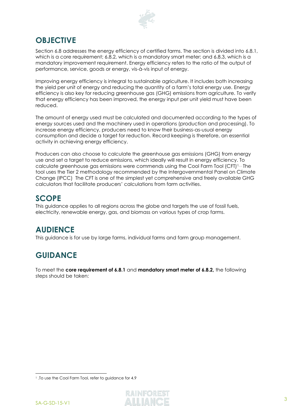

# **OBJECTIVE**

Section 6.8 addresses the energy efficiency of certified farms. The section is divided into 6.8.1, which is a core requirement; 6.8.2, which is a mandatory smart meter; and 6.8.3, which is a mandatory improvement requirement. Energy efficiency refers to the ratio of the output of performance, service, goods or energy, vis-à-vis input of energy.

Improving energy efficiency is integral to sustainable agriculture. It includes both increasing the yield per unit of energy and reducing the quantity of a farm's total energy use. Energy efficiency is also key for reducing greenhouse gas (GHG) emissions from agriculture. To verify that energy efficiency has been improved, the energy input per unit yield must have been reduced.

The amount of energy used must be calculated and documented according to the types of energy sources used and the machinery used in operations (production and processing). To increase energy efficiency, producers need to know their business-as-usual energy consumption and decide a target for reduction. Record keeping is therefore, an essential activity in achieving energy efficiency.

Producers can also choose to calculate the greenhouse gas emissions (GHG) from energy use and set a target to reduce emissions, which ideally will result in energy efficiency. To calculate greenhouse gas emissions were commends using the Cool Farm Tool (CFT)1. , The tool uses the Tier 2 methodology recommended by the Intergovernmental Panel on Climate Change (IPCC) The CFT is one of the simplest yet comprehensive and freely available GHG calculators that facilitate producers' calculations from farm activities.

# **SCOPE**

This guidance applies to all regions across the globe and targets the use of fossil fuels, electricity, renewable energy, gas, and biomass on various types of crop farms.

# **AUDIENCE**

This guidance is for use by large farms, individual farms and farm group management.

# **GUIDANCE**

To meet the **core requirement of 6.8.1** and **mandatory smart meter of 6.8.2,** the following steps should be taken:

<sup>1.</sup> To use the Cool Farm Tool, refer to guidance for 4.9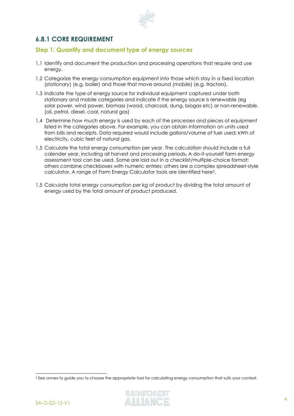

## **6.8.1 CORE REQUIREMENT**

## **Step 1: Quantify and document type of energy sources**

- 1.1 Identify and document the production and processing operations that require and use energy.
- 1.2 Categorize the energy consumption equipment into those which stay in a fixed location (*stationary*) (e.g. boiler) and those that move around (*mobile*) (e.g. tractors).
- 1.3 Indicate the type of energy source for individual equipment captured under both stationary and mobile categories and indicate if the energy source is renewable (eg solar power, wind power, biomass (wood, charcoal, dung, biogas etc) or non-renewable. (oil, petrol, diesel, coal, natural gas)
- 1.4 Determine how much energy is used by each of the processes and pieces of equipment listed in the categories above. For example, you can obtain information on units used from bills and receipts. Data required would include gallons/volume of fuel used; kWh of electricity, cubic feet of natural gas.
- 1.5 Calculate the total energy consumption per year. The calculation should include a full calender year, including all harvest and processing periods. A do-it-yourself farm energy assessment tool can be used. Some are laid out in a checklist/multiple-choice format; others combine checkboxes with numeric entries; others are a complex spreadsheet-style calculator. A range of Farm Energy Calculator tools are identified here2.
- 1.5 Calculate total energy consumption per kg of product by dividing the total amount of energy used by the total amount of product produced.

<sup>2</sup> See annex to guide you to choose the appropriate tool for calculating energy consumption that suits your context.

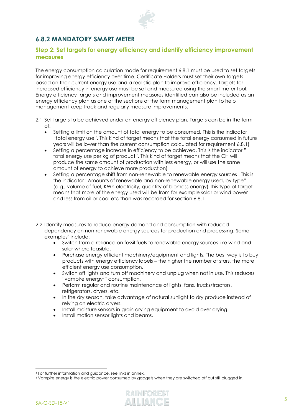

# **6.8.2 MANDATORY SMART METER**

## **Step 2: Set targets for energy efficiency and identify efficiency improvement measures**

The energy consumption calculation made for requirement 6.8.1 must be used to set targets for improving energy efficiency over time. Certificate Holders must set their own targets based on their current energy use and a realistic plan to improve efficiency. Targets for increased efficiency in energy use must be set and measured using the smart meter tool. Energy efficiency targets and improvement measures identified can also be included as an energy efficiency plan as one of the sections of the farm management plan to help management keep track and regularly measure improvements.

- 2.1 Set targets to be achieved under an energy efficiency plan. Targets can be in the form of:
	- Setting a limit on the amount of total energy to be consumed. This is the indicator "total energy use". This kind of target means that the total energy consumed in future years will be lower than the current consumption calculated for requirement 6.8.1)
	- Setting a percentage increase in efficiency to be achieved. This is the indicator " total energy use per kg of product". This kind of target means that the CH will produce the same amount of production with less energy, or will use the same amount of energy to achieve more production)
	- Setting a percentage shift from non-renewable to renewable energy sources. This is the indicator "Amounts of renewable and non-renewable energy used, by type" (e.g., volume of fuel, KWh electricity, quantity of biomass energy) This type of target means that more of the energy used will be from for example solar or wind power and less from oil or coal etc than was recorded for section 6.8.1
- 2.2 Identify measures to reduce energy demand and consumption with reduced dependency on non-renewable energy sources for production and processing. Some examples <sup>3</sup> include:
	- Switch from a reliance on fossil fuels to renewable energy sources like wind and solar where feasible.
	- Purchase energy efficient machinery/equipment and lights. The best way is to buy products with energy efficiency labels – the higher the number of stars, the more efficient energy use consumption.
	- Switch off lights and turn off machinery and unplug when not in use. This reduces "vampire energy4" consumption.
	- Perform regular and routine maintenance of lights, fans, trucks/tractors, refrigerators, dryers, etc.
	- In the dry season, take advantage of natural sunlight to dry produce instead of relying on electric dryers.
	- Install moisture sensors in grain drying equipment to avoid over drying.
	- Install motion sensor lights and beams.

<sup>4</sup> Vampire energy is the electric power consumed by gadgets when they are switched off but still plugged in.



<sup>3</sup> For further information and guidance, see links in annex.